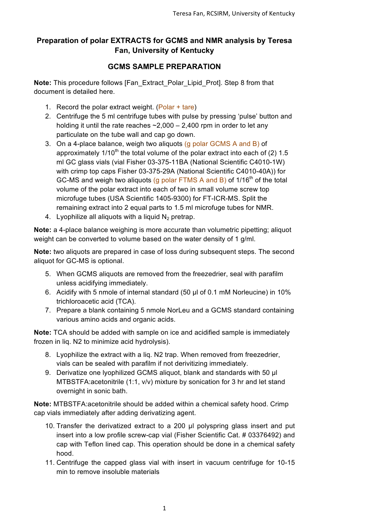## **Preparation of polar EXTRACTS for GCMS and NMR analysis by Teresa Fan, University of Kentucky**

## **GCMS SAMPLE PREPARATION**

**Note:** This procedure follows [Fan\_Extract\_Polar\_Lipid\_Prot]. Step 8 from that document is detailed here.

- 1. Record the polar extract weight. (Polar + tare)
- 2. Centrifuge the 5 ml centrifuge tubes with pulse by pressing 'pulse' button and holding it until the rate reaches  $\sim$  2,000 – 2,400 rpm in order to let any particulate on the tube wall and cap go down.
- 3. On a 4-place balance, weigh two aliquots (g polar GCMS A and B) of approximately  $1/10^{th}$  the total volume of the polar extract into each of (2) 1.5 ml GC glass vials (vial Fisher 03-375-11BA (National Scientific C4010-1W) with crimp top caps Fisher 03-375-29A (National Scientific C4010-40A)) for GC-MS and weigh two aliquots (g polar FTMS A and B) of  $1/16<sup>th</sup>$  of the total volume of the polar extract into each of two in small volume screw top microfuge tubes (USA Scientific 1405-9300) for FT-ICR-MS. Split the remaining extract into 2 equal parts to 1.5 ml microfuge tubes for NMR.
- 4. Lyophilize all aliquots with a liquid  $N<sub>2</sub>$  pretrap.

**Note:** a 4-place balance weighing is more accurate than volumetric pipetting; aliquot weight can be converted to volume based on the water density of 1 g/ml.

**Note:** two aliquots are prepared in case of loss during subsequent steps. The second aliquot for GC-MS is optional.

- 5. When GCMS aliquots are removed from the freezedrier, seal with parafilm unless acidifying immediately.
- 6. Acidify with 5 nmole of internal standard (50 µl of 0.1 mM Norleucine) in 10% trichloroacetic acid (TCA).
- 7. Prepare a blank containing 5 nmole NorLeu and a GCMS standard containing various amino acids and organic acids.

**Note:** TCA should be added with sample on ice and acidified sample is immediately frozen in liq. N2 to minimize acid hydrolysis).

- 8. Lyophilize the extract with a liq. N2 trap. When removed from freezedrier, vials can be sealed with parafilm if not derivitizing immediately.
- 9. Derivatize one lyophilized GCMS aliquot, blank and standards with 50 µl MTBSTFA:acetonitrile (1:1, v/v) mixture by sonication for 3 hr and let stand overnight in sonic bath.

**Note:** MTBSTFA:acetonitrile should be added within a chemical safety hood. Crimp cap vials immediately after adding derivatizing agent.

- 10. Transfer the derivatized extract to a 200 µl polyspring glass insert and put insert into a low profile screw-cap vial (Fisher Scientific Cat. # 03376492) and cap with Teflon lined cap. This operation should be done in a chemical safety hood.
- 11. Centrifuge the capped glass vial with insert in vacuum centrifuge for 10-15 min to remove insoluble materials